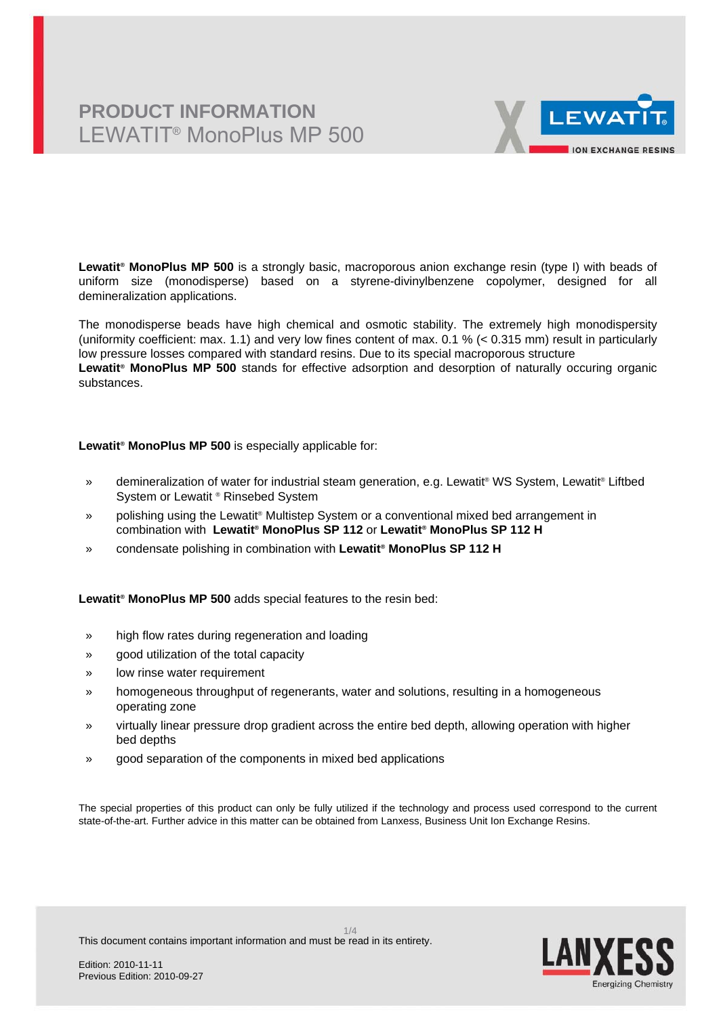# **PRODUCT INFORMATION** LEWATIT® MonoPlus MP 500



**Lewatit® MonoPlus MP 500** is a strongly basic, macroporous anion exchange resin (type I) with beads of uniform size (monodisperse) based on a styrene-divinylbenzene copolymer, designed for all demineralization applications.

The monodisperse beads have high chemical and osmotic stability. The extremely high monodispersity (uniformity coefficient: max. 1.1) and very low fines content of max. 0.1 % (< 0.315 mm) result in particularly low pressure losses compared with standard resins. Due to its special macroporous structure **Lewatit® MonoPlus MP 500** stands for effective adsorption and desorption of naturally occuring organic substances.

**Lewatit® MonoPlus MP 500** is especially applicable for:

- » demineralization of water for industrial steam generation, e.g. Lewatit® WS System, Lewatit® Liftbed System or Lewatit ® Rinsebed System
- » polishing using the Lewatit® Multistep System or a conventional mixed bed arrangement in combination with **Lewatit® MonoPlus SP 112** or **Lewatit® MonoPlus SP 112 H**
- » condensate polishing in combination with **Lewatit® MonoPlus SP 112 H**

**Lewatit® MonoPlus MP 500** adds special features to the resin bed:

- » high flow rates during regeneration and loading
- » good utilization of the total capacity
- » low rinse water requirement
- » homogeneous throughput of regenerants, water and solutions, resulting in a homogeneous operating zone
- » virtually linear pressure drop gradient across the entire bed depth, allowing operation with higher bed depths
- » good separation of the components in mixed bed applications

The special properties of this product can only be fully utilized if the technology and process used correspond to the current state-of-the-art. Further advice in this matter can be obtained from Lanxess, Business Unit Ion Exchange Resins.

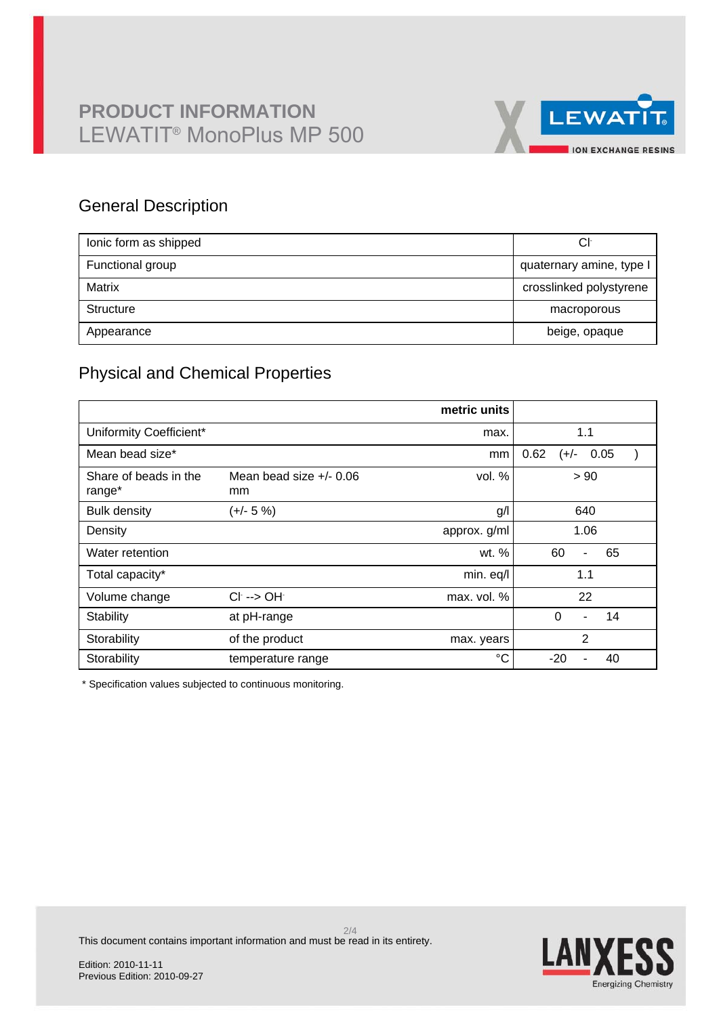

## General Description

| lonic form as shipped | Сŀ                       |
|-----------------------|--------------------------|
| Functional group      | quaternary amine, type I |
| Matrix                | crosslinked polystyrene  |
| Structure             | macroporous              |
| Appearance            | beige, opaque            |

## Physical and Chemical Properties

|                                 |                                            | metric units |                                  |
|---------------------------------|--------------------------------------------|--------------|----------------------------------|
| Uniformity Coefficient*         |                                            | max.         | 1.1                              |
| Mean bead size*                 |                                            | mm           | 0.62<br>0.05<br>$(+/-)$          |
| Share of beads in the<br>range* | Mean bead size $+/- 0.06$<br><sub>mm</sub> | vol. %       | > 90                             |
| <b>Bulk density</b>             | $(+/- 5%)$                                 | g/           | 640                              |
| Density                         |                                            | approx. g/ml | 1.06                             |
| Water retention                 |                                            | wt. %        | 60<br>65<br>$\blacksquare$       |
| Total capacity*                 |                                            | min. eq/l    | 1.1                              |
| Volume change                   | $Cl^- \rightarrow OH^-$                    | max. vol. %  | 22                               |
| Stability                       | at pH-range                                |              | $\Omega$<br>14<br>$\blacksquare$ |
| Storability                     | of the product                             | max. years   | $\overline{2}$                   |
| Storability                     | temperature range                          | $^{\circ}C$  | $-20$<br>40                      |

\* Specification values subjected to continuous monitoring.

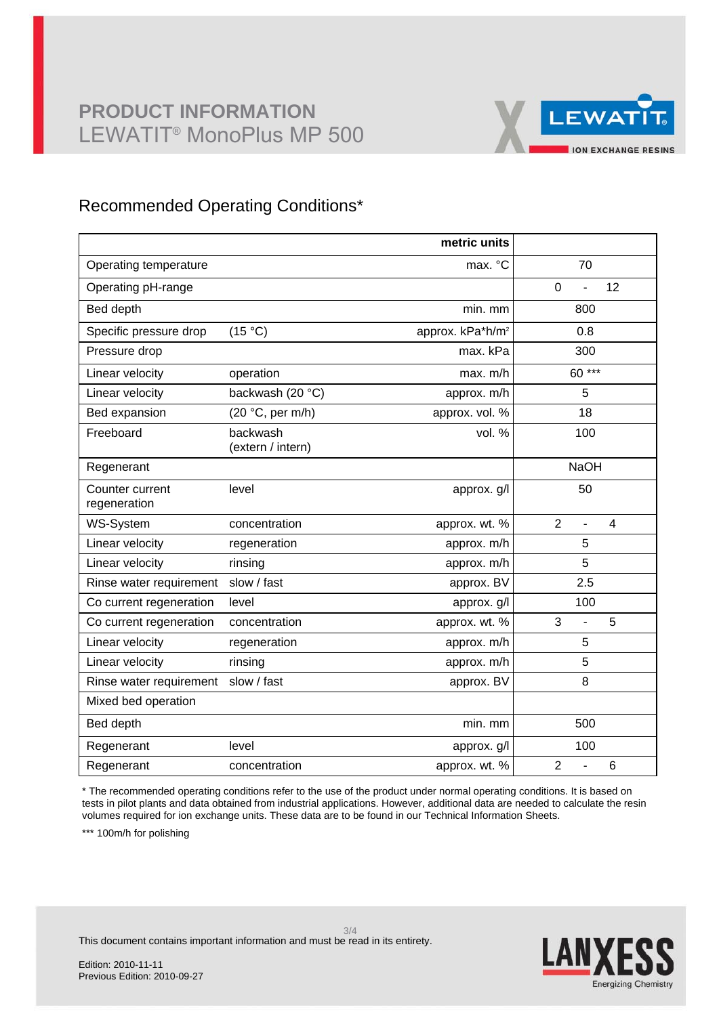

## Recommended Operating Conditions\*

|                                 |                               | metric units                 |                                                    |
|---------------------------------|-------------------------------|------------------------------|----------------------------------------------------|
| Operating temperature           |                               | max. °C                      | 70                                                 |
| Operating pH-range              |                               |                              | 12<br>$\mathbf 0$                                  |
| Bed depth                       |                               | min. mm                      | 800                                                |
| Specific pressure drop          | (15 °C)                       | approx. kPa*h/m <sup>2</sup> | 0.8                                                |
| Pressure drop                   |                               | max. kPa                     | 300                                                |
| Linear velocity                 | operation                     | max. m/h                     | 60***                                              |
| Linear velocity                 | backwash (20 °C)              | approx. m/h                  | 5                                                  |
| Bed expansion                   | (20 °C, per m/h)              | approx. vol. %               | 18                                                 |
| Freeboard                       | backwash<br>(extern / intern) | vol. %                       | 100                                                |
| Regenerant                      |                               |                              | <b>NaOH</b>                                        |
| Counter current<br>regeneration | level                         | approx. g/l                  | 50                                                 |
| <b>WS-System</b>                | concentration                 | approx. wt. %                | $\overline{2}$<br>$\overline{4}$<br>$\overline{a}$ |
| Linear velocity                 | regeneration                  | approx. m/h                  | 5                                                  |
| Linear velocity                 | rinsing                       | approx. m/h                  | 5                                                  |
| Rinse water requirement         | slow / fast                   | approx. BV                   | 2.5                                                |
| Co current regeneration         | level                         | approx. g/l                  | 100                                                |
| Co current regeneration         | concentration                 | approx. wt. %                | 3<br>5<br>$\overline{a}$                           |
| Linear velocity                 | regeneration                  | approx. m/h                  | 5                                                  |
| Linear velocity                 | rinsing                       | approx. m/h                  | 5                                                  |
| Rinse water requirement         | slow / fast                   | approx. BV                   | 8                                                  |
| Mixed bed operation             |                               |                              |                                                    |
| Bed depth                       |                               | min. mm                      | 500                                                |
| Regenerant                      | level                         | approx. g/l                  | 100                                                |
| Regenerant                      | concentration                 | approx. wt. %                | $\overline{2}$<br>6                                |

\* The recommended operating conditions refer to the use of the product under normal operating conditions. It is based on tests in pilot plants and data obtained from industrial applications. However, additional data are needed to calculate the resin volumes required for ion exchange units. These data are to be found in our Technical Information Sheets.

\*\*\* 100m/h for polishing



This document contains important information and must be read in its entirety.